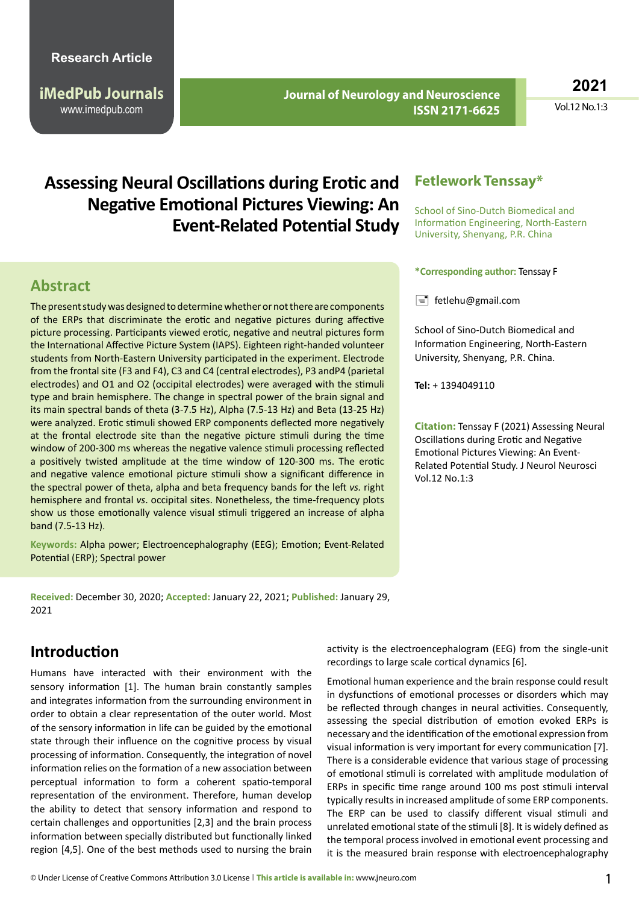**iMedPub Journals** www.imedpub.com

 **Journal of Neurology and Neuroscience ISSN 2171-6625**

**2021** Vol.12 No.1:3

# **Assessing Neural Oscillations during Erotic and Negative Emotional Pictures Viewing: An Event-Related Potential Study**

### **Abstract**

The present study was designed to determine whether or not there are components of the ERPs that discriminate the erotic and negative pictures during affective picture processing. Participants viewed erotic, negative and neutral pictures form the International Affective Picture System (IAPS). Eighteen right-handed volunteer students from North-Eastern University participated in the experiment. Electrode from the frontal site (F3 and F4), C3 and C4 (central electrodes), P3 andP4 (parietal electrodes) and O1 and O2 (occipital electrodes) were averaged with the stimuli type and brain hemisphere. The change in spectral power of the brain signal and its main spectral bands of theta (3-7.5 Hz), Alpha (7.5-13 Hz) and Beta (13-25 Hz) were analyzed. Erotic stimuli showed ERP components deflected more negatively at the frontal electrode site than the negative picture stimuli during the time window of 200-300 ms whereas the negative valence stimuli processing reflected a positively twisted amplitude at the time window of 120-300 ms. The erotic and negative valence emotional picture stimuli show a significant difference in the spectral power of theta, alpha and beta frequency bands for the left *vs.* right hemisphere and frontal *vs*. occipital sites. Nonetheless, the time-frequency plots show us those emotionally valence visual stimuli triggered an increase of alpha band (7.5-13 Hz).

**Keywords:** Alpha power; Electroencephalography (EEG); Emotion; Event-Related Potential (ERP); Spectral power

**Received:** December 30, 2020; **Accepted:** January 22, 2021; **Published:** January 29, 2021

## **Introduction**

Humans have interacted with their environment with the sensory information [1]. The human brain constantly samples and integrates information from the surrounding environment in order to obtain a clear representation of the outer world. Most of the sensory information in life can be guided by the emotional state through their influence on the cognitive process by visual processing of information. Consequently, the integration of novel information relies on the formation of a new association between perceptual information to form a coherent spatio-temporal representation of the environment. Therefore, human develop the ability to detect that sensory information and respond to certain challenges and opportunities [2,3] and the brain process information between specially distributed but functionally linked region [4,5]. One of the best methods used to nursing the brain

### **Fetlework Tenssay\***

School of Sino-Dutch Biomedical and Information Engineering, North-Eastern University, Shenyang, P.R. China

#### **\*Corresponding author:** Tenssay F

 $\equiv$  [fetlehu@gmail.com](mailto:fetlehu@gmail.com)

School of Sino-Dutch Biomedical and Information Engineering, North-Eastern University, Shenyang, P.R. China.

**Tel:** + 1394049110

**Citation:** Tenssay F (2021) Assessing Neural Oscillations during Erotic and Negative Emotional Pictures Viewing: An Event-Related Potential Study. J Neurol Neurosci Vol.12 No.1:3

activity is the electroencephalogram (EEG) from the single-unit recordings to large scale cortical dynamics [6].

Emotional human experience and the brain response could result in dysfunctions of emotional processes or disorders which may be reflected through changes in neural activities. Consequently, assessing the special distribution of emotion evoked ERPs is necessary and the identification of the emotional expression from visual information is very important for every communication [7]. There is a considerable evidence that various stage of processing of emotional stimuli is correlated with amplitude modulation of ERPs in specific time range around 100 ms post stimuli interval typically results in increased amplitude of some ERP components. The ERP can be used to classify different visual stimuli and unrelated emotional state of the stimuli [8]. It is widely defined as the temporal process involved in emotional event processing and it is the measured brain response with electroencephalography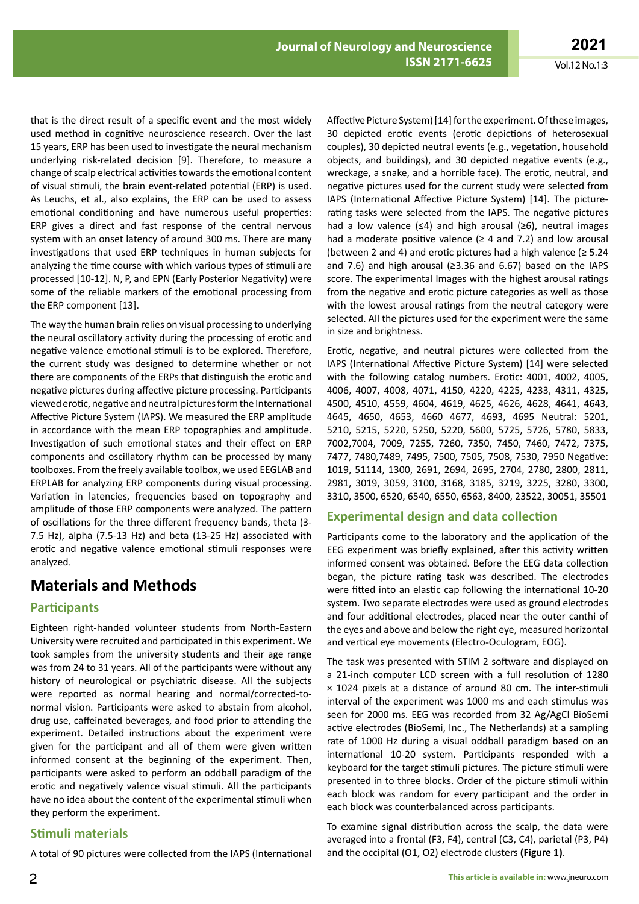that is the direct result of a specific event and the most widely used method in cognitive neuroscience research. Over the last 15 years, ERP has been used to investigate the neural mechanism underlying risk-related decision [9]. Therefore, to measure a change of scalp electrical activities towards the emotional content of visual stimuli, the brain event-related potential (ERP) is used. As Leuchs, et al., also explains, the ERP can be used to assess emotional conditioning and have numerous useful properties: ERP gives a direct and fast response of the central nervous system with an onset latency of around 300 ms. There are many investigations that used ERP techniques in human subjects for analyzing the time course with which various types of stimuli are processed [10-12]. N, P, and EPN (Early Posterior Negativity) were some of the reliable markers of the emotional processing from the ERP component [13].

The way the human brain relies on visual processing to underlying the neural oscillatory activity during the processing of erotic and negative valence emotional stimuli is to be explored. Therefore, the current study was designed to determine whether or not there are components of the ERPs that distinguish the erotic and negative pictures during affective picture processing. Participants viewed erotic, negative and neutral pictures form the International Affective Picture System (IAPS). We measured the ERP amplitude in accordance with the mean ERP topographies and amplitude. Investigation of such emotional states and their effect on ERP components and oscillatory rhythm can be processed by many toolboxes. From the freely available toolbox, we used EEGLAB and ERPLAB for analyzing ERP components during visual processing. Variation in latencies, frequencies based on topography and amplitude of those ERP components were analyzed. The pattern of oscillations for the three different frequency bands, theta (3- 7.5 Hz), alpha (7.5-13 Hz) and beta (13-25 Hz) associated with erotic and negative valence emotional stimuli responses were analyzed.

## **Materials and Methods**

### **Participants**

Eighteen right-handed volunteer students from North-Eastern University were recruited and participated in this experiment. We took samples from the university students and their age range was from 24 to 31 years. All of the participants were without any history of neurological or psychiatric disease. All the subjects were reported as normal hearing and normal/corrected-tonormal vision. Participants were asked to abstain from alcohol, drug use, caffeinated beverages, and food prior to attending the experiment. Detailed instructions about the experiment were given for the participant and all of them were given written informed consent at the beginning of the experiment. Then, participants were asked to perform an oddball paradigm of the erotic and negatively valence visual stimuli. All the participants have no idea about the content of the experimental stimuli when they perform the experiment.

### **Stimuli materials**

A total of 90 pictures were collected from the IAPS (International

Affective Picture System) [14] for the experiment. Of these images, 30 depicted erotic events (erotic depictions of heterosexual couples), 30 depicted neutral events (e.g., vegetation, household objects, and buildings), and 30 depicted negative events (e.g., wreckage, a snake, and a horrible face). The erotic, neutral, and negative pictures used for the current study were selected from IAPS (International Affective Picture System) [14]. The picturerating tasks were selected from the IAPS. The negative pictures had a low valence (≤4) and high arousal (≥6), neutral images had a moderate positive valence ( $\geq$  4 and 7.2) and low arousal (between 2 and 4) and erotic pictures had a high valence ( $\geq 5.24$ and 7.6) and high arousal (≥3.36 and 6.67) based on the IAPS score. The experimental Images with the highest arousal ratings from the negative and erotic picture categories as well as those with the lowest arousal ratings from the neutral category were selected. All the pictures used for the experiment were the same in size and brightness.

Erotic, negative, and neutral pictures were collected from the IAPS (International Affective Picture System) [14] were selected with the following catalog numbers. Erotic: 4001, 4002, 4005, 4006, 4007, 4008, 4071, 4150, 4220, 4225, 4233, 4311, 4325, 4500, 4510, 4559, 4604, 4619, 4625, 4626, 4628, 4641, 4643, 4645, 4650, 4653, 4660 4677, 4693, 4695 Neutral: 5201, 5210, 5215, 5220, 5250, 5220, 5600, 5725, 5726, 5780, 5833, 7002,7004, 7009, 7255, 7260, 7350, 7450, 7460, 7472, 7375, 7477, 7480,7489, 7495, 7500, 7505, 7508, 7530, 7950 Negative: 1019, 51114, 1300, 2691, 2694, 2695, 2704, 2780, 2800, 2811, 2981, 3019, 3059, 3100, 3168, 3185, 3219, 3225, 3280, 3300, 3310, 3500, 6520, 6540, 6550, 6563, 8400, 23522, 30051, 35501

#### **Experimental design and data collection**

Participants come to the laboratory and the application of the EEG experiment was briefly explained, after this activity written informed consent was obtained. Before the EEG data collection began, the picture rating task was described. The electrodes were fitted into an elastic cap following the international 10-20 system. Two separate electrodes were used as ground electrodes and four additional electrodes, placed near the outer canthi of the eyes and above and below the right eye, measured horizontal and vertical eye movements (Electro-Oculogram, EOG).

The task was presented with STIM 2 software and displayed on a 21-inch computer LCD screen with a full resolution of 1280 × 1024 pixels at a distance of around 80 cm. The inter-stimuli interval of the experiment was 1000 ms and each stimulus was seen for 2000 ms. EEG was recorded from 32 Ag/AgCl BioSemi active electrodes (BioSemi, Inc., The Netherlands) at a sampling rate of 1000 Hz during a visual oddball paradigm based on an international 10-20 system. Participants responded with a keyboard for the target stimuli pictures. The picture stimuli were presented in to three blocks. Order of the picture stimuli within each block was random for every participant and the order in each block was counterbalanced across participants.

To examine signal distribution across the scalp, the data were averaged into a frontal (F3, F4), central (C3, C4), parietal (P3, P4) and the occipital (O1, O2) electrode clusters **(Figure 1)**.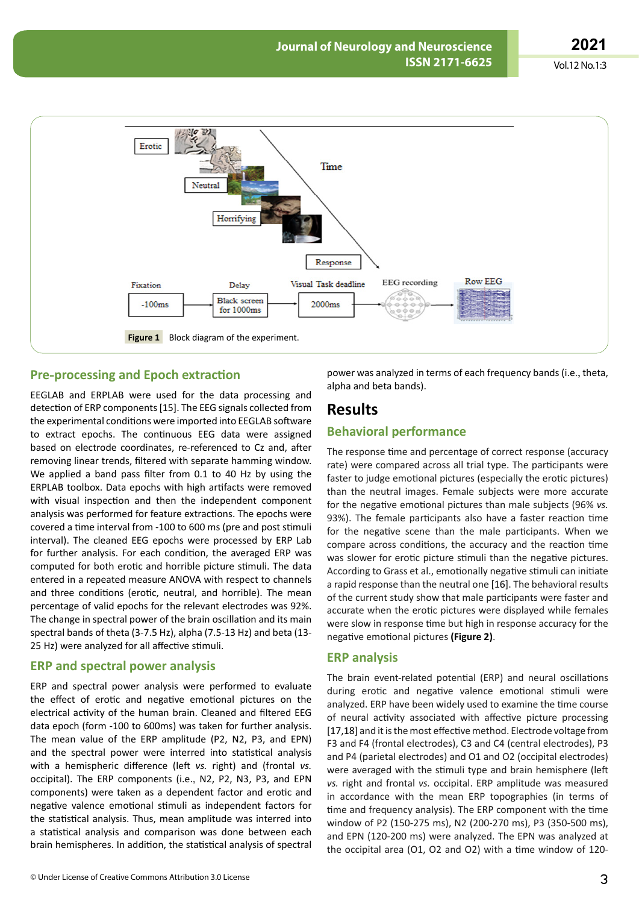



#### **Pre-processing and Epoch extraction**

EEGLAB and ERPLAB were used for the data processing and detection of ERP components [15]. The EEG signals collected from the experimental conditions were imported into EEGLAB software to extract epochs. The continuous EEG data were assigned based on electrode coordinates, re-referenced to Cz and, after removing linear trends, filtered with separate hamming window. We applied a band pass filter from 0.1 to 40 Hz by using the ERPLAB toolbox. Data epochs with high artifacts were removed with visual inspection and then the independent component analysis was performed for feature extractions. The epochs were covered a time interval from -100 to 600 ms (pre and post stimuli interval). The cleaned EEG epochs were processed by ERP Lab for further analysis. For each condition, the averaged ERP was computed for both erotic and horrible picture stimuli. The data entered in a repeated measure ANOVA with respect to channels and three conditions (erotic, neutral, and horrible). The mean percentage of valid epochs for the relevant electrodes was 92%. The change in spectral power of the brain oscillation and its main spectral bands of theta (3-7.5 Hz), alpha (7.5-13 Hz) and beta (13- 25 Hz) were analyzed for all affective stimuli.

#### **ERP and spectral power analysis**

ERP and spectral power analysis were performed to evaluate the effect of erotic and negative emotional pictures on the electrical activity of the human brain. Cleaned and filtered EEG data epoch (form -100 to 600ms) was taken for further analysis. The mean value of the ERP amplitude (P2, N2, P3, and EPN) and the spectral power were interred into statistical analysis with a hemispheric difference (left *vs.* right) and (frontal *vs.* occipital). The ERP components (i.e., N2, P2, N3, P3, and EPN components) were taken as a dependent factor and erotic and negative valence emotional stimuli as independent factors for the statistical analysis. Thus, mean amplitude was interred into a statistical analysis and comparison was done between each brain hemispheres. In addition, the statistical analysis of spectral

power was analyzed in terms of each frequency bands (i.e., theta, alpha and beta bands).

### **Results**

### **Behavioral performance**

The response time and percentage of correct response (accuracy rate) were compared across all trial type. The participants were faster to judge emotional pictures (especially the erotic pictures) than the neutral images. Female subjects were more accurate for the negative emotional pictures than male subjects (96% *vs.* 93%). The female participants also have a faster reaction time for the negative scene than the male participants. When we compare across conditions, the accuracy and the reaction time was slower for erotic picture stimuli than the negative pictures. According to Grass et al., emotionally negative stimuli can initiate a rapid response than the neutral one [16]. The behavioral results of the current study show that male participants were faster and accurate when the erotic pictures were displayed while females were slow in response time but high in response accuracy for the negative emotional pictures **(Figure 2)**.

#### **ERP analysis**

The brain event-related potential (ERP) and neural oscillations during erotic and negative valence emotional stimuli were analyzed. ERP have been widely used to examine the time course of neural activity associated with affective picture processing [17,18] and it is the most effective method. Electrode voltage from F3 and F4 (frontal electrodes), C3 and C4 (central electrodes), P3 and P4 (parietal electrodes) and O1 and O2 (occipital electrodes) were averaged with the stimuli type and brain hemisphere (left *vs.* right and frontal *vs.* occipital. ERP amplitude was measured in accordance with the mean ERP topographies (in terms of time and frequency analysis). The ERP component with the time window of P2 (150-275 ms), N2 (200-270 ms), P3 (350-500 ms), and EPN (120-200 ms) were analyzed. The EPN was analyzed at the occipital area (O1, O2 and O2) with a time window of 120-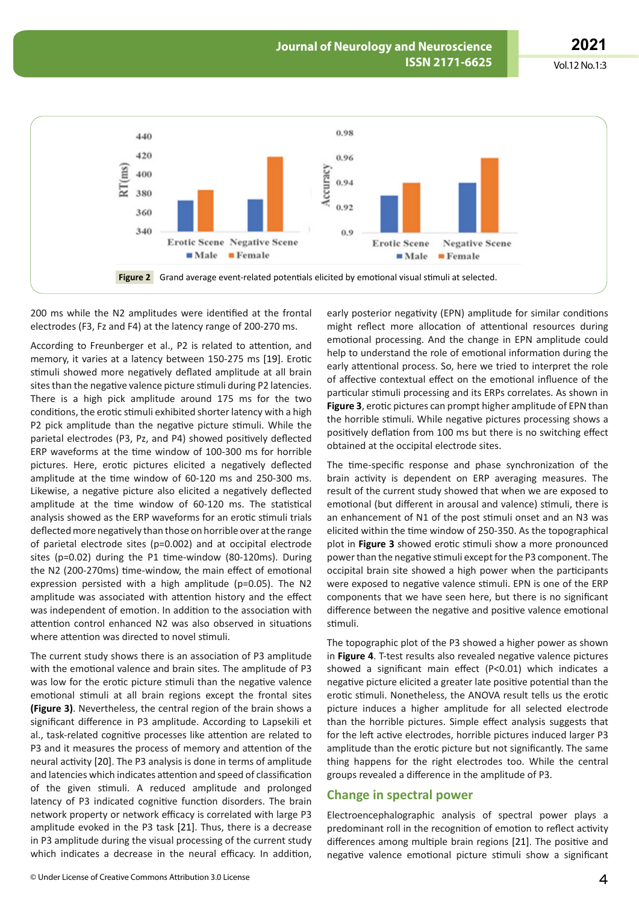

200 ms while the N2 amplitudes were identified at the frontal electrodes (F3, Fz and F4) at the latency range of 200-270 ms.

According to Freunberger et al., P2 is related to attention, and memory, it varies at a latency between 150-275 ms [19]. Erotic stimuli showed more negatively deflated amplitude at all brain sites than the negative valence picture stimuli during P2 latencies. There is a high pick amplitude around 175 ms for the two conditions, the erotic stimuli exhibited shorter latency with a high P2 pick amplitude than the negative picture stimuli. While the parietal electrodes (P3, Pz, and P4) showed positively deflected ERP waveforms at the time window of 100-300 ms for horrible pictures. Here, erotic pictures elicited a negatively deflected amplitude at the time window of 60-120 ms and 250-300 ms. Likewise, a negative picture also elicited a negatively deflected amplitude at the time window of 60-120 ms. The statistical analysis showed as the ERP waveforms for an erotic stimuli trials deflected more negatively than those on horrible over at the range of parietal electrode sites (p=0.002) and at occipital electrode sites (p=0.02) during the P1 time-window (80-120ms). During the N2 (200-270ms) time-window, the main effect of emotional expression persisted with a high amplitude (p=0.05). The N2 amplitude was associated with attention history and the effect was independent of emotion. In addition to the association with attention control enhanced N2 was also observed in situations where attention was directed to novel stimuli.

The current study shows there is an association of P3 amplitude with the emotional valence and brain sites. The amplitude of P3 was low for the erotic picture stimuli than the negative valence emotional stimuli at all brain regions except the frontal sites **(Figure 3)**. Nevertheless, the central region of the brain shows a significant difference in P3 amplitude. According to Lapsekili et al., task-related cognitive processes like attention are related to P3 and it measures the process of memory and attention of the neural activity [20]. The P3 analysis is done in terms of amplitude and latencies which indicates attention and speed of classification of the given stimuli. A reduced amplitude and prolonged latency of P3 indicated cognitive function disorders. The brain network property or network efficacy is correlated with large P3 amplitude evoked in the P3 task [21]. Thus, there is a decrease in P3 amplitude during the visual processing of the current study which indicates a decrease in the neural efficacy. In addition,

early posterior negativity (EPN) amplitude for similar conditions might reflect more allocation of attentional resources during emotional processing. And the change in EPN amplitude could help to understand the role of emotional information during the early attentional process. So, here we tried to interpret the role of affective contextual effect on the emotional influence of the particular stimuli processing and its ERPs correlates. As shown in **Figure 3**, erotic pictures can prompt higher amplitude of EPN than the horrible stimuli. While negative pictures processing shows a positively deflation from 100 ms but there is no switching effect obtained at the occipital electrode sites.

The time-specific response and phase synchronization of the brain activity is dependent on ERP averaging measures. The result of the current study showed that when we are exposed to emotional (but different in arousal and valence) stimuli, there is an enhancement of N1 of the post stimuli onset and an N3 was elicited within the time window of 250-350. As the topographical plot in **Figure 3** showed erotic stimuli show a more pronounced power than the negative stimuli except for the P3 component. The occipital brain site showed a high power when the participants were exposed to negative valence stimuli. EPN is one of the ERP components that we have seen here, but there is no significant difference between the negative and positive valence emotional stimuli.

The topographic plot of the P3 showed a higher power as shown in **Figure 4**. T-test results also revealed negative valence pictures showed a significant main effect (P<0.01) which indicates a negative picture elicited a greater late positive potential than the erotic stimuli. Nonetheless, the ANOVA result tells us the erotic picture induces a higher amplitude for all selected electrode than the horrible pictures. Simple effect analysis suggests that for the left active electrodes, horrible pictures induced larger P3 amplitude than the erotic picture but not significantly. The same thing happens for the right electrodes too. While the central groups revealed a difference in the amplitude of P3.

#### **Change in spectral power**

Electroencephalographic analysis of spectral power plays a predominant roll in the recognition of emotion to reflect activity differences among multiple brain regions [21]. The positive and negative valence emotional picture stimuli show a significant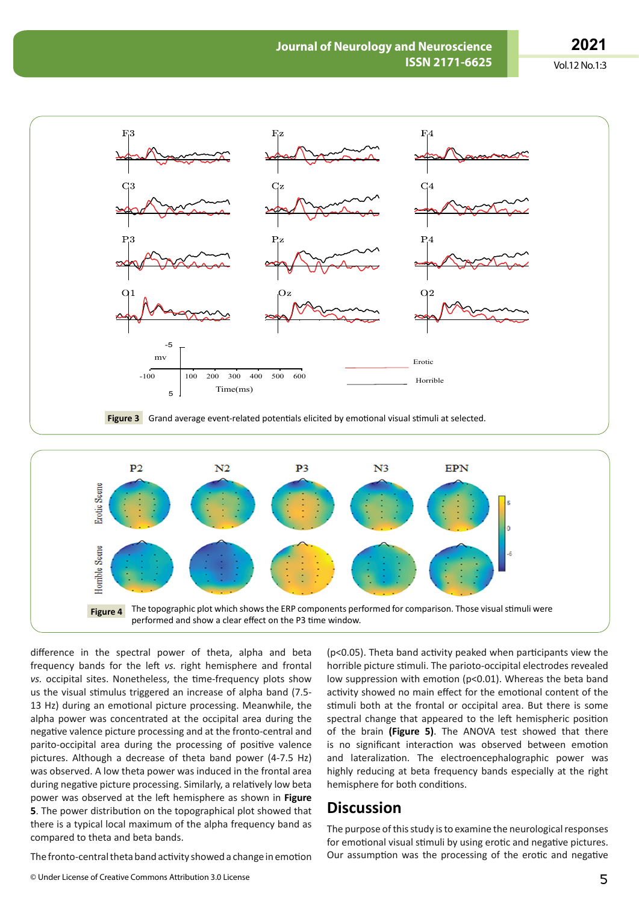



difference in the spectral power of theta, alpha and beta frequency bands for the left *vs.* right hemisphere and frontal *vs.* occipital sites. Nonetheless, the time-frequency plots show us the visual stimulus triggered an increase of alpha band (7.5- 13 Hz) during an emotional picture processing. Meanwhile, the alpha power was concentrated at the occipital area during the negative valence picture processing and at the fronto-central and parito-occipital area during the processing of positive valence pictures. Although a decrease of theta band power (4-7.5 Hz) was observed. A low theta power was induced in the frontal area during negative picture processing. Similarly, a relatively low beta power was observed at the left hemisphere as shown in **Figure 5**. The power distribution on the topographical plot showed that there is a typical local maximum of the alpha frequency band as compared to theta and beta bands.

(p<0.05). Theta band activity peaked when participants view the horrible picture stimuli. The parioto-occipital electrodes revealed low suppression with emotion (p<0.01). Whereas the beta band activity showed no main effect for the emotional content of the stimuli both at the frontal or occipital area. But there is some spectral change that appeared to the left hemispheric position of the brain **(Figure 5)**. The ANOVA test showed that there is no significant interaction was observed between emotion and lateralization. The electroencephalographic power was highly reducing at beta frequency bands especially at the right hemisphere for both conditions.

### **Discussion**

The purpose of this study is to examine the neurological responses for emotional visual stimuli by using erotic and negative pictures. Our assumption was the processing of the erotic and negative

The fronto-central theta band activity showed a change in emotion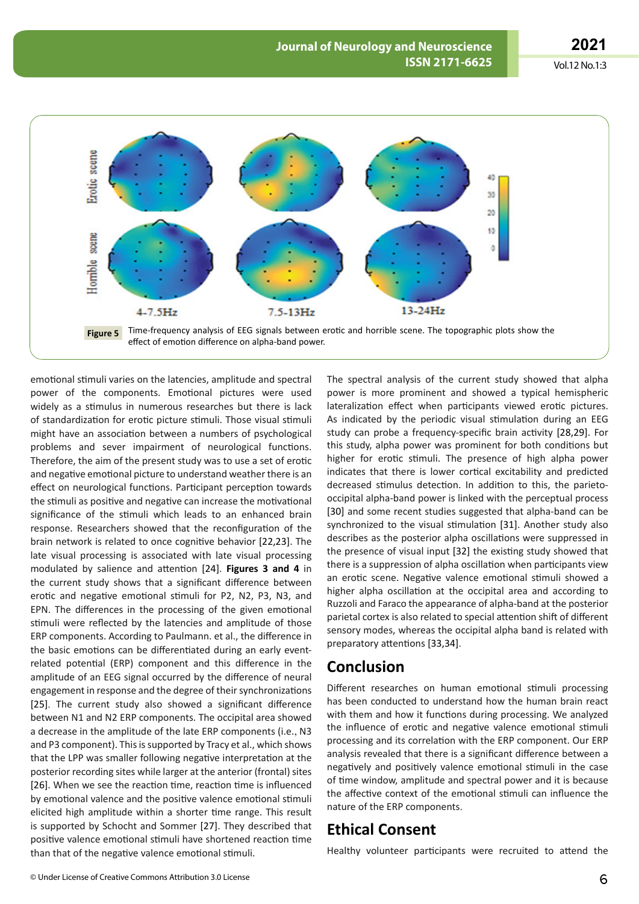

emotional stimuli varies on the latencies, amplitude and spectral power of the components. Emotional pictures were used widely as a stimulus in numerous researches but there is lack of standardization for erotic picture stimuli. Those visual stimuli might have an association between a numbers of psychological problems and sever impairment of neurological functions. Therefore, the aim of the present study was to use a set of erotic and negative emotional picture to understand weather there is an effect on neurological functions. Participant perception towards the stimuli as positive and negative can increase the motivational significance of the stimuli which leads to an enhanced brain response. Researchers showed that the reconfiguration of the brain network is related to once cognitive behavior [22,23]. The late visual processing is associated with late visual processing modulated by salience and attention [24]. **Figures 3 and 4** in the current study shows that a significant difference between erotic and negative emotional stimuli for P2, N2, P3, N3, and EPN. The differences in the processing of the given emotional stimuli were reflected by the latencies and amplitude of those ERP components. According to Paulmann. et al., the difference in the basic emotions can be differentiated during an early eventrelated potential (ERP) component and this difference in the amplitude of an EEG signal occurred by the difference of neural engagement in response and the degree of their synchronizations [25]. The current study also showed a significant difference between N1 and N2 ERP components. The occipital area showed a decrease in the amplitude of the late ERP components (i.e., N3 and P3 component). This is supported by Tracy et al., which shows that the LPP was smaller following negative interpretation at the posterior recording sites while larger at the anterior (frontal) sites [26]. When we see the reaction time, reaction time is influenced by emotional valence and the positive valence emotional stimuli elicited high amplitude within a shorter time range. This result is supported by Schocht and Sommer [27]. They described that positive valence emotional stimuli have shortened reaction time than that of the negative valence emotional stimuli.

The spectral analysis of the current study showed that alpha power is more prominent and showed a typical hemispheric lateralization effect when participants viewed erotic pictures. As indicated by the periodic visual stimulation during an EEG study can probe a frequency-specific brain activity [28,29]. For this study, alpha power was prominent for both conditions but higher for erotic stimuli. The presence of high alpha power indicates that there is lower cortical excitability and predicted decreased stimulus detection. In addition to this, the parietooccipital alpha-band power is linked with the perceptual process [30] and some recent studies suggested that alpha-band can be synchronized to the visual stimulation [31]. Another study also describes as the posterior alpha oscillations were suppressed in the presence of visual input [32] the existing study showed that there is a suppression of alpha oscillation when participants view an erotic scene. Negative valence emotional stimuli showed a higher alpha oscillation at the occipital area and according to Ruzzoli and Faraco the appearance of alpha-band at the posterior parietal cortex is also related to special attention shift of different sensory modes, whereas the occipital alpha band is related with preparatory attentions [33,34].

## **Conclusion**

Different researches on human emotional stimuli processing has been conducted to understand how the human brain react with them and how it functions during processing. We analyzed the influence of erotic and negative valence emotional stimuli processing and its correlation with the ERP component. Our ERP analysis revealed that there is a significant difference between a negatively and positively valence emotional stimuli in the case of time window, amplitude and spectral power and it is because the affective context of the emotional stimuli can influence the nature of the ERP components.

## **Ethical Consent**

Healthy volunteer participants were recruited to attend the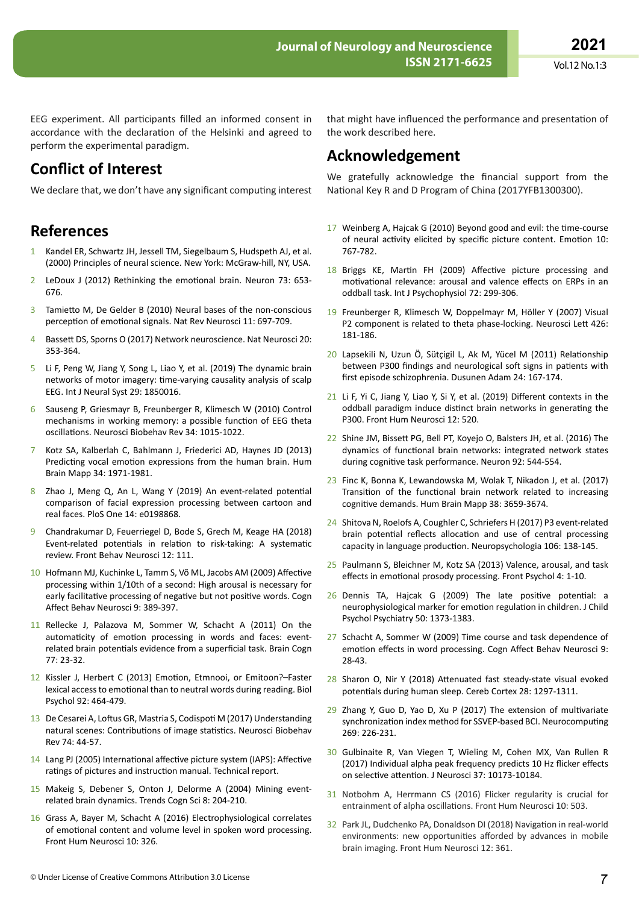EEG experiment. All participants filled an informed consent in accordance with the declaration of the Helsinki and agreed to perform the experimental paradigm.

## **Conflict of Interest**

We declare that, we don't have any significant computing interest

## **References**

- Kandel ER, Schwartz JH, Jessell TM, Siegelbaum S, Hudspeth AJ, et al. (2000) Principles of neural science. New York: McGraw-hill, NY, USA.
- 2 LeDoux J (2012) Rethinking the emotional brain. Neuron 73: 653- 676.
- 3 Tamietto M, De Gelder B (2010) Neural bases of the non-conscious perception of emotional signals. Nat Rev Neurosci 11: 697-709.
- 4 Bassett DS, Sporns O (2017) Network neuroscience. Nat Neurosci 20: 353-364.
- 5 Li F, Peng W, Jiang Y, Song L, Liao Y, et al. (2019) The dynamic brain networks of motor imagery: time-varying causality analysis of scalp EEG. Int J Neural Syst 29: 1850016.
- 6 Sauseng P, Griesmayr B, Freunberger R, Klimesch W (2010) Control mechanisms in working memory: a possible function of EEG theta oscillations. Neurosci Biobehav Rev 34: 1015-1022.
- 7 Kotz SA, Kalberlah C, Bahlmann J, Friederici AD, Haynes JD (2013) Predicting vocal emotion expressions from the human brain. Hum Brain Mapp 34: 1971-1981.
- 8 Zhao J, Meng Q, An L, Wang Y (2019) An event-related potential comparison of facial expression processing between cartoon and real faces. PloS One 14: e0198868.
- 9 Chandrakumar D, Feuerriegel D, Bode S, Grech M, Keage HA (2018) Event-related potentials in relation to risk-taking: A systematic review. Front Behav Neurosci 12: 111.
- 10 Hofmann MJ, Kuchinke L, Tamm S, Võ ML, Jacobs AM (2009) Affective processing within 1/10th of a second: High arousal is necessary for early facilitative processing of negative but not positive words. Cogn Affect Behav Neurosci 9: 389-397.
- 11 Rellecke J, Palazova M, Sommer W, Schacht A (2011) On the automaticity of emotion processing in words and faces: eventrelated brain potentials evidence from a superficial task. Brain Cogn 77: 23-32.
- 12 Kissler J, Herbert C (2013) Emotion, Etmnooi, or Emitoon?–Faster lexical access to emotional than to neutral words during reading. Biol Psychol 92: 464-479.
- 13 De Cesarei A, Loftus GR, Mastria S, Codispoti M (2017) Understanding natural scenes: Contributions of image statistics. Neurosci Biobehav Rev 74: 44-57.
- 14 Lang PJ (2005) International affective picture system (IAPS): Affective ratings of pictures and instruction manual. Technical report.
- 15 Makeig S, Debener S, Onton J, Delorme A (2004) Mining eventrelated brain dynamics. Trends Cogn Sci 8: 204-210.
- 16 Grass A, Bayer M, Schacht A (2016) Electrophysiological correlates of emotional content and volume level in spoken word processing. Front Hum Neurosci 10: 326.

that might have influenced the performance and presentation of the work described here.

## **Acknowledgement**

We gratefully acknowledge the financial support from the National Key R and D Program of China (2017YFB1300300).

- 17 Weinberg A, Hajcak G (2010) Beyond good and evil: the time-course of neural activity elicited by specific picture content. Emotion 10: 767-782.
- 18 Briggs KE, Martin FH (2009) Affective picture processing and motivational relevance: arousal and valence effects on ERPs in an oddball task. Int J Psychophysiol 72: 299-306.
- 19 Freunberger R, Klimesch W, Doppelmayr M, Höller Y (2007) Visual P2 component is related to theta phase-locking. Neurosci Lett 426: 181-186.
- 20 Lapsekili N, Uzun Ö, Sütçigil L, Ak M, Yücel M (2011) Relationship between P300 findings and neurological soft signs in patients with first episode schizophrenia. Dusunen Adam 24: 167-174.
- 21 Li F, Yi C, Jiang Y, Liao Y, Si Y, et al. (2019) Different contexts in the oddball paradigm induce distinct brain networks in generating the P300. Front Hum Neurosci 12: 520.
- 22 Shine JM, Bissett PG, Bell PT, Koyejo O, Balsters JH, et al. (2016) The dynamics of functional brain networks: integrated network states during cognitive task performance. Neuron 92: 544-554.
- 23 Finc K, Bonna K, Lewandowska M, Wolak T, Nikadon J, et al. (2017) Transition of the functional brain network related to increasing cognitive demands. Hum Brain Mapp 38: 3659-3674.
- 24 Shitova N, Roelofs A, Coughler C, Schriefers H (2017) P3 event-related brain potential reflects allocation and use of central processing capacity in language production. Neuropsychologia 106: 138-145.
- 25 Paulmann S, Bleichner M, Kotz SA (2013) Valence, arousal, and task effects in emotional prosody processing. Front Psychol 4: 1-10.
- 26 Dennis TA, Hajcak G (2009) The late positive potential: a neurophysiological marker for emotion regulation in children. J Child Psychol Psychiatry 50: 1373-1383.
- 27 Schacht A, Sommer W (2009) Time course and task dependence of emotion effects in word processing. Cogn Affect Behav Neurosci 9: 28-43.
- 28 Sharon O, Nir Y (2018) Attenuated fast steady-state visual evoked potentials during human sleep. Cereb Cortex 28: 1297-1311.
- 29 Zhang Y, Guo D, Yao D, Xu P (2017) The extension of multivariate synchronization index method for SSVEP-based BCI. Neurocomputing 269: 226-231.
- 30 Gulbinaite R, Van Viegen T, Wieling M, Cohen MX, Van Rullen R (2017) Individual alpha peak frequency predicts 10 Hz flicker effects on selective attention. J Neurosci 37: 10173-10184.
- 31 Notbohm A, Herrmann CS (2016) Flicker regularity is crucial for entrainment of alpha oscillations. Front Hum Neurosci 10: 503.
- 32 Park JL, Dudchenko PA, Donaldson DI (2018) Navigation in real-world environments: new opportunities afforded by advances in mobile brain imaging. Front Hum Neurosci 12: 361.